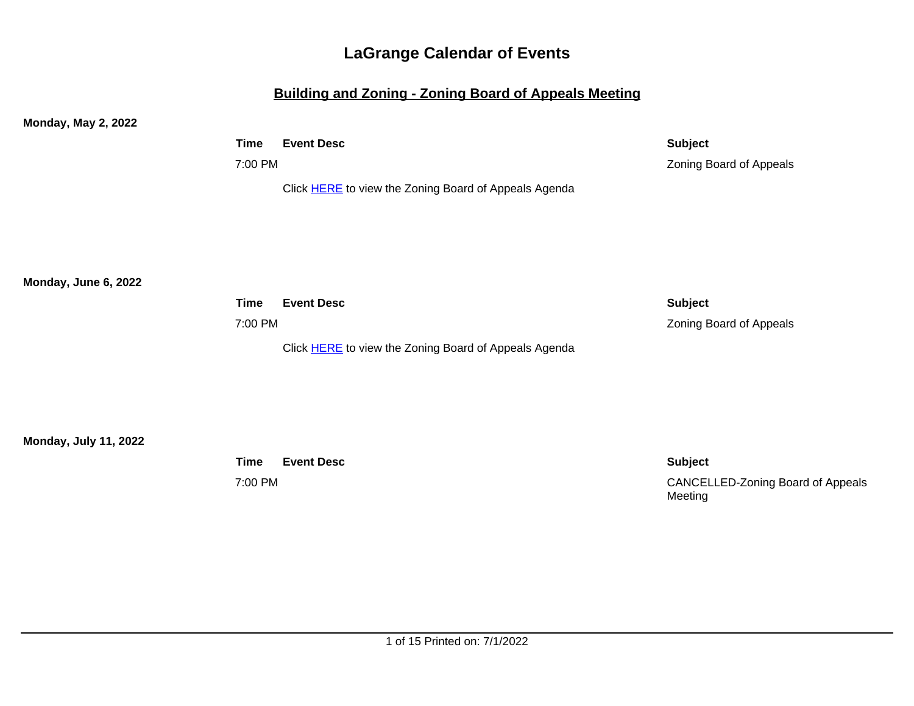## **Building and Zoning - Zoning Board of Appeals Meeting**

**Monday, May 2, 2022**

| Time    | <b>Event Desc</b>                                            | <b>Subject</b>          |
|---------|--------------------------------------------------------------|-------------------------|
| 7:00 PM |                                                              | Zoning Board of Appeals |
|         | Click <b>HERE</b> to view the Zoning Board of Appeals Agenda |                         |

**Monday, June 6, 2022**

| Time    | <b>Event Desc</b>                                            | <b>Subject</b>                 |
|---------|--------------------------------------------------------------|--------------------------------|
| 7:00 PM |                                                              | <b>Zoning Board of Appeals</b> |
|         | Click <b>HERE</b> to view the Zoning Board of Appeals Agenda |                                |

**Monday, July 11, 2022**

**Time Event Desc Subject**

7:00 PM CANCELLED-Zoning Board of Appeals Meeting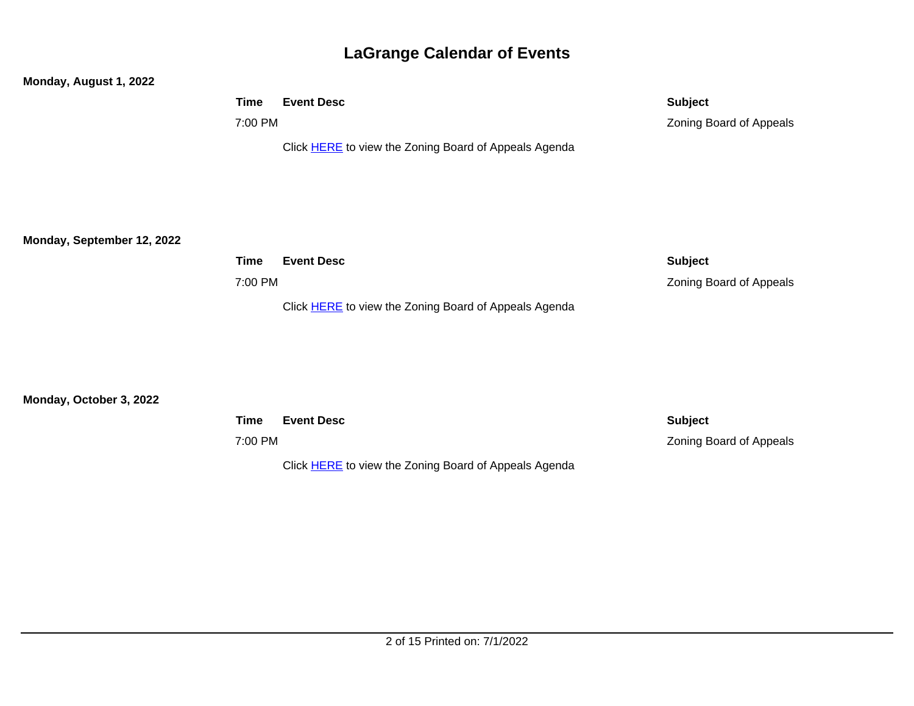## **Monday, August 1, 2022**

| Time    | <b>Event Desc</b>                                            | <b>Subject</b>          |
|---------|--------------------------------------------------------------|-------------------------|
| 7:00 PM |                                                              | Zoning Board of Appeals |
|         | Click <b>HERE</b> to view the Zoning Board of Appeals Agenda |                         |

**Monday, September 12, 2022**

| Time    | <b>Event Desc</b>                                            | <b>Subject</b>                 |
|---------|--------------------------------------------------------------|--------------------------------|
| 7:00 PM |                                                              | <b>Zoning Board of Appeals</b> |
|         | Click <b>HERE</b> to view the Zoning Board of Appeals Agenda |                                |

## **Monday, October 3, 2022**

| Time    | <b>Event Desc</b>                                            | <b>Subject</b>          |
|---------|--------------------------------------------------------------|-------------------------|
| 7:00 PM |                                                              | Zoning Board of Appeals |
|         | Click <b>HERE</b> to view the Zoning Board of Appeals Agenda |                         |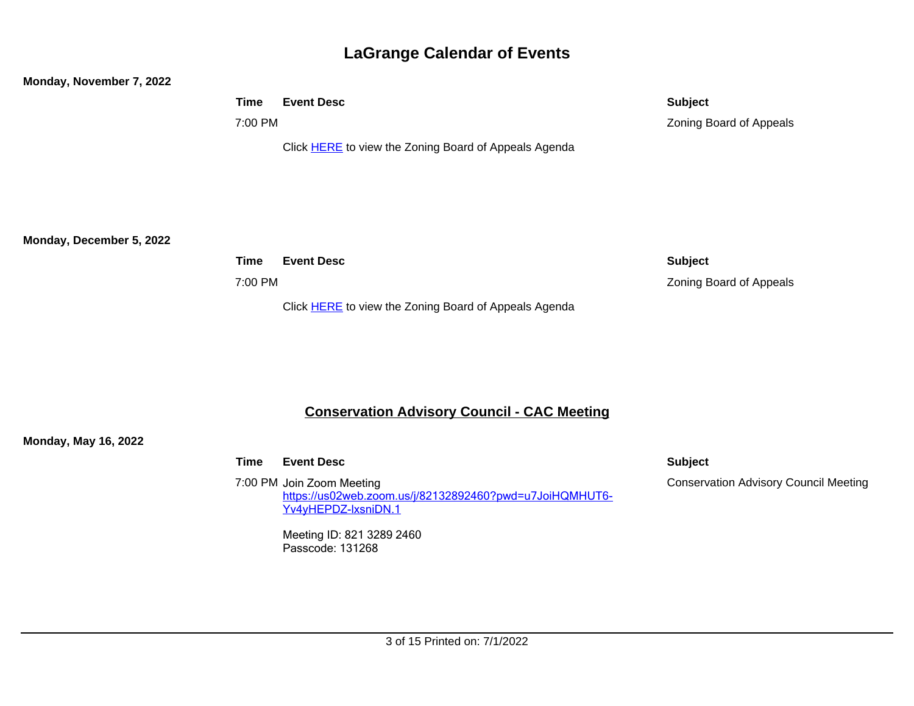#### **Monday, November 7, 2022**

| <b>Time</b> | <b>Event Desc</b>                                            | <b>Subject</b>                 |
|-------------|--------------------------------------------------------------|--------------------------------|
| 7:00 PM     |                                                              | <b>Zoning Board of Appeals</b> |
|             | Click <b>HERE</b> to view the Zoning Board of Appeals Agenda |                                |

**Monday, December 5, 2022**

| Time    | <b>Event Desc</b>                                            | <b>Subject</b>                 |
|---------|--------------------------------------------------------------|--------------------------------|
| 7:00 PM |                                                              | <b>Zoning Board of Appeals</b> |
|         | Click <b>HERE</b> to view the Zoning Board of Appeals Agenda |                                |

## **Conservation Advisory Council - CAC Meeting**

**Monday, May 16, 2022**

| Time | <b>Event Desc</b>                                                                                           | <b>Subject</b> |
|------|-------------------------------------------------------------------------------------------------------------|----------------|
|      | 7:00 PM Join Zoom Meeting<br>https://us02web.zoom.us/j/82132892460?pwd=u7JoiHQMHUT6-<br>Yv4yHEPDZ-IxsniDN.1 | Conserv        |

Meeting ID: 821 3289 2460 Passcode: 131268

Conservation Advisory Council Meeting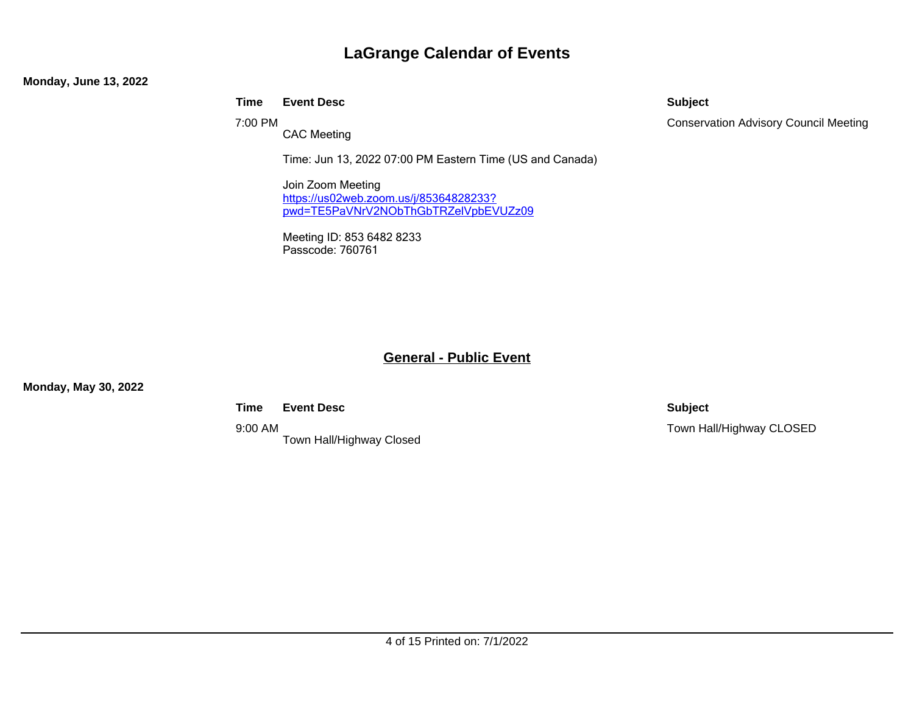#### **Monday, June 13, 2022**

### **Time Event Desc Subject**

7:00 PM

CAC Meeting

Time: Jun 13, 2022 07:00 PM Eastern Time (US and Canada)

Join Zoom Meeting [https://us02web.zoom.us/j/85364828233?](https://us02web.zoom.us/j/85364828233?pwd=TE5PaVNrV2NObThGbTRZelVpbEVUZz09) [pwd=TE5PaVNrV2NObThGbTRZelVpbEVUZz09](https://us02web.zoom.us/j/85364828233?pwd=TE5PaVNrV2NObThGbTRZelVpbEVUZz09)

Meeting ID: 853 6482 8233 Passcode: 760761

## **General - Public Event**

**Monday, May 30, 2022**

**Time Event Desc Subject**

9:00 AM Town Hall/Highway Closed

Conservation Advisory Council Meeting

Town Hall/Highway CLOSED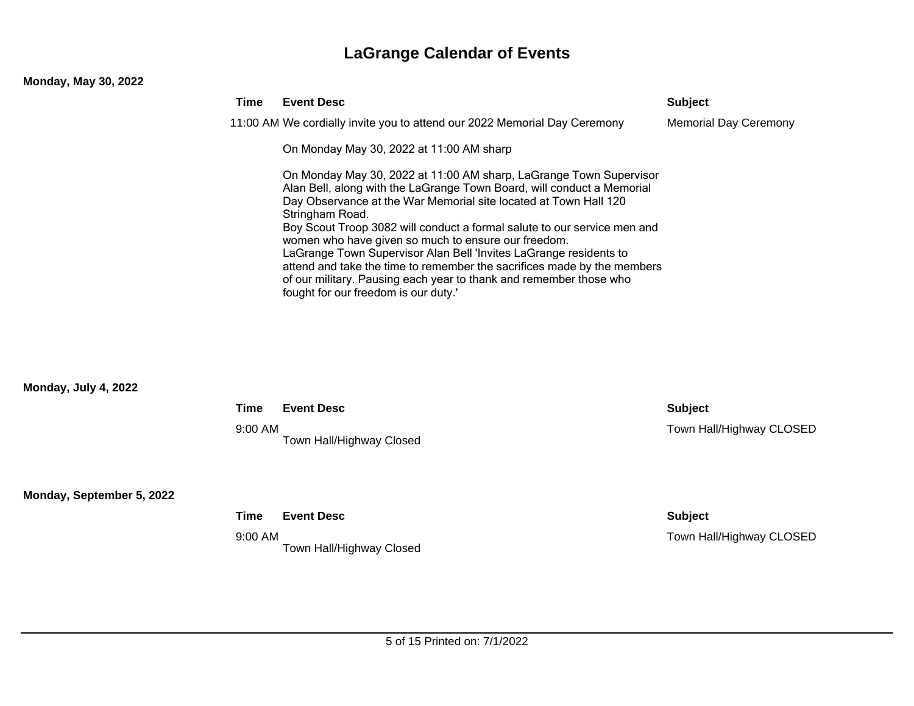## **Monday, May 30, 2022**

| Time | <b>Event Desc</b>                                                                                                                                                                                                                                                                                                                                                                                                                                                                                                                                                                                                                    | <b>Subject</b>               |
|------|--------------------------------------------------------------------------------------------------------------------------------------------------------------------------------------------------------------------------------------------------------------------------------------------------------------------------------------------------------------------------------------------------------------------------------------------------------------------------------------------------------------------------------------------------------------------------------------------------------------------------------------|------------------------------|
|      | 11:00 AM We cordially invite you to attend our 2022 Memorial Day Ceremony                                                                                                                                                                                                                                                                                                                                                                                                                                                                                                                                                            | <b>Memorial Day Ceremony</b> |
|      | On Monday May 30, 2022 at 11:00 AM sharp                                                                                                                                                                                                                                                                                                                                                                                                                                                                                                                                                                                             |                              |
|      | On Monday May 30, 2022 at 11:00 AM sharp, LaGrange Town Supervisor<br>Alan Bell, along with the LaGrange Town Board, will conduct a Memorial<br>Day Observance at the War Memorial site located at Town Hall 120<br>Stringham Road.<br>Boy Scout Troop 3082 will conduct a formal salute to our service men and<br>women who have given so much to ensure our freedom.<br>LaGrange Town Supervisor Alan Bell 'Invites LaGrange residents to<br>attend and take the time to remember the sacrifices made by the members<br>of our military. Pausing each year to thank and remember those who<br>fought for our freedom is our duty.' |                              |

## **Monday, July 4, 2022**

| Time      | <b>Event Desc</b>        | <b>Subject</b>           |
|-----------|--------------------------|--------------------------|
| $9:00$ AM | Town Hall/Highway Closed | Town Hall/Highway CLOSED |

**Monday, September 5, 2022**

| Time    | <b>Event Desc</b>        | <b>Subject</b>           |
|---------|--------------------------|--------------------------|
| 9:00 AM | Town Hall/Highway Closed | Town Hall/Highway CLOSED |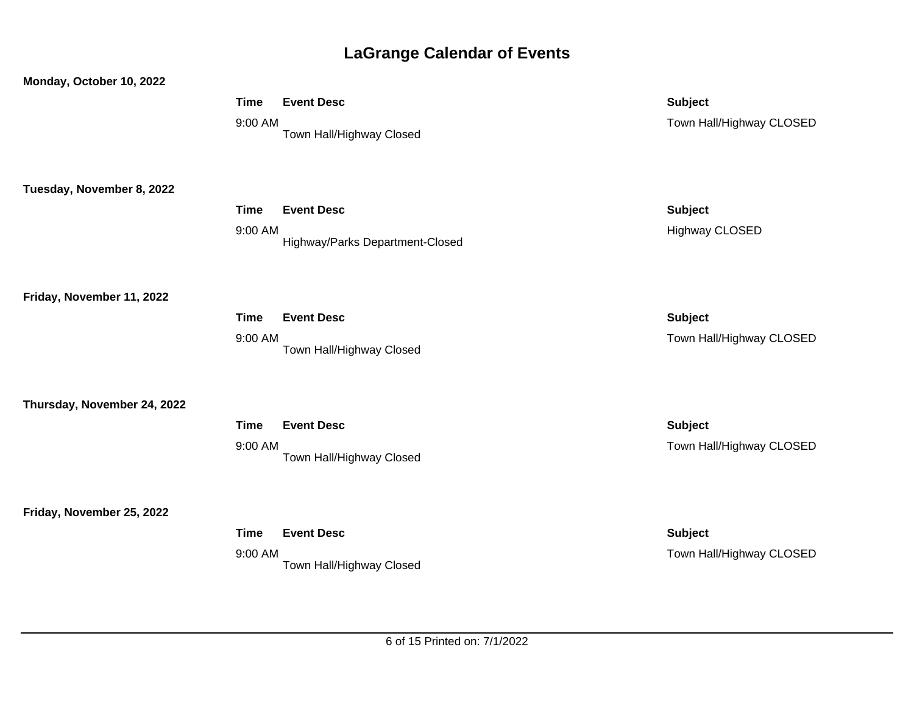| Monday, October 10, 2022    |             |                                 |                          |
|-----------------------------|-------------|---------------------------------|--------------------------|
|                             | <b>Time</b> | <b>Event Desc</b>               | <b>Subject</b>           |
|                             | 9:00 AM     | Town Hall/Highway Closed        | Town Hall/Highway CLOSED |
|                             |             |                                 |                          |
|                             |             |                                 |                          |
| Tuesday, November 8, 2022   |             |                                 |                          |
|                             | <b>Time</b> | <b>Event Desc</b>               | <b>Subject</b>           |
|                             | 9:00 AM     |                                 | <b>Highway CLOSED</b>    |
|                             |             | Highway/Parks Department-Closed |                          |
|                             |             |                                 |                          |
| Friday, November 11, 2022   |             |                                 |                          |
|                             | <b>Time</b> | <b>Event Desc</b>               | <b>Subject</b>           |
|                             | 9:00 AM     |                                 | Town Hall/Highway CLOSED |
|                             |             | Town Hall/Highway Closed        |                          |
|                             |             |                                 |                          |
| Thursday, November 24, 2022 |             |                                 |                          |
|                             | <b>Time</b> | <b>Event Desc</b>               | <b>Subject</b>           |
|                             | 9:00 AM     |                                 | Town Hall/Highway CLOSED |
|                             |             | Town Hall/Highway Closed        |                          |
|                             |             |                                 |                          |
| Friday, November 25, 2022   |             |                                 |                          |
|                             | <b>Time</b> | <b>Event Desc</b>               | <b>Subject</b>           |
|                             | 9:00 AM     |                                 | Town Hall/Highway CLOSED |
|                             |             | Town Hall/Highway Closed        |                          |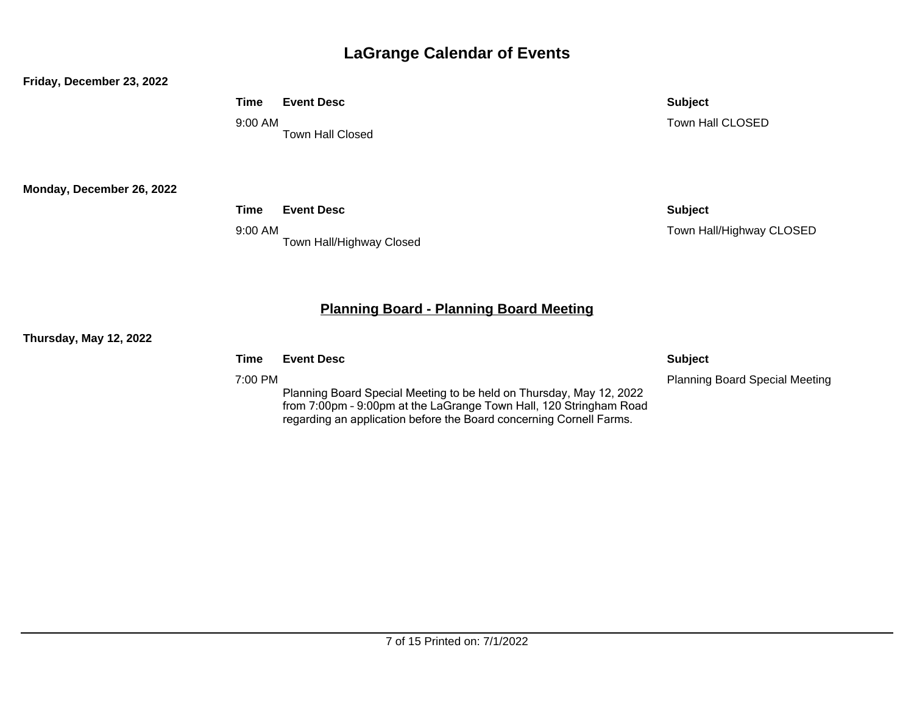#### **Friday, December 23, 2022**

**Time Event Desc Subject**

9:00 AM Town Hall Closed Town Hall CLOSED

**Monday, December 26, 2022**

**Time Event Desc Subject**

9:00 AM Town Hall/Highway Closed Town Hall/Highway CLOSED

## **Planning Board - Planning Board Meeting**

#### **Thursday, May 12, 2022**

**Time Event Desc Subject**

7:00 PM

Planning Board Special Meeting to be held on Thursday, May 12, 2022 from 7:00pm – 9:00pm at the LaGrange Town Hall, 120 Stringham Road regarding an application before the Board concerning Cornell Farms.

Planning Board Special Meeting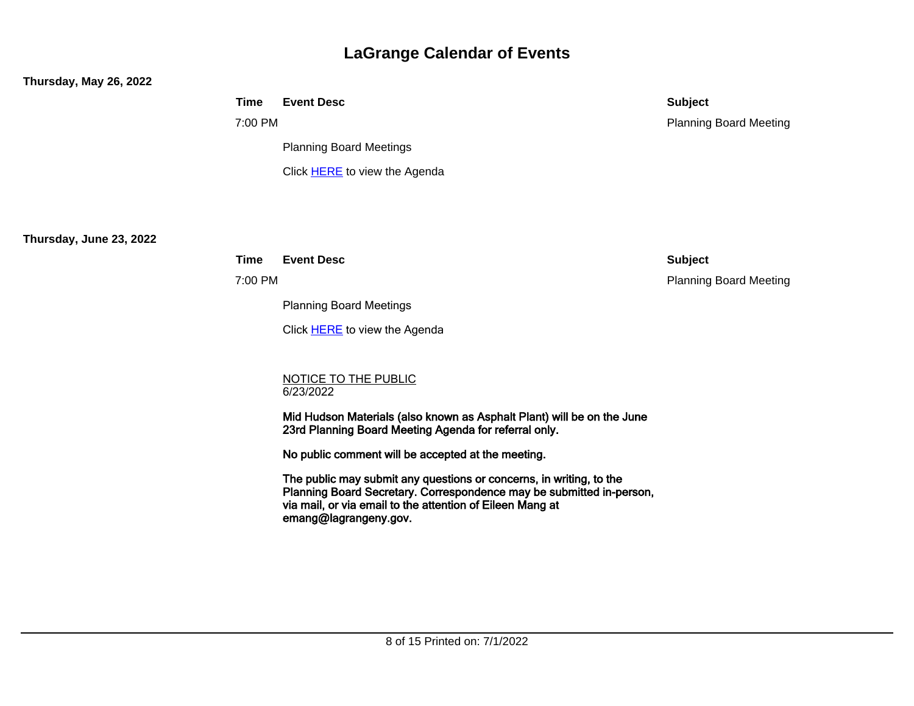## **Thursday, May 26, 2022**

|                         | <b>Time</b> | <b>Event Desc</b>                                                                                                                                                                                                                 | <b>Subject</b>                |
|-------------------------|-------------|-----------------------------------------------------------------------------------------------------------------------------------------------------------------------------------------------------------------------------------|-------------------------------|
|                         | 7:00 PM     |                                                                                                                                                                                                                                   | <b>Planning Board Meeting</b> |
|                         |             | <b>Planning Board Meetings</b>                                                                                                                                                                                                    |                               |
|                         |             | Click <b>HERE</b> to view the Agenda                                                                                                                                                                                              |                               |
|                         |             |                                                                                                                                                                                                                                   |                               |
| Thursday, June 23, 2022 |             |                                                                                                                                                                                                                                   |                               |
|                         | <b>Time</b> | <b>Event Desc</b>                                                                                                                                                                                                                 | <b>Subject</b>                |
|                         | 7:00 PM     |                                                                                                                                                                                                                                   | <b>Planning Board Meeting</b> |
|                         |             | <b>Planning Board Meetings</b>                                                                                                                                                                                                    |                               |
|                         |             | Click <b>HERE</b> to view the Agenda                                                                                                                                                                                              |                               |
|                         |             |                                                                                                                                                                                                                                   |                               |
|                         |             | <b>NOTICE TO THE PUBLIC</b><br>6/23/2022                                                                                                                                                                                          |                               |
|                         |             | Mid Hudson Materials (also known as Asphalt Plant) will be on the June<br>23rd Planning Board Meeting Agenda for referral only.                                                                                                   |                               |
|                         |             | No public comment will be accepted at the meeting.                                                                                                                                                                                |                               |
|                         |             | The public may submit any questions or concerns, in writing, to the<br>Planning Board Secretary. Correspondence may be submitted in-person,<br>via mail, or via email to the attention of Eileen Mang at<br>emang@lagrangeny.gov. |                               |
|                         |             |                                                                                                                                                                                                                                   |                               |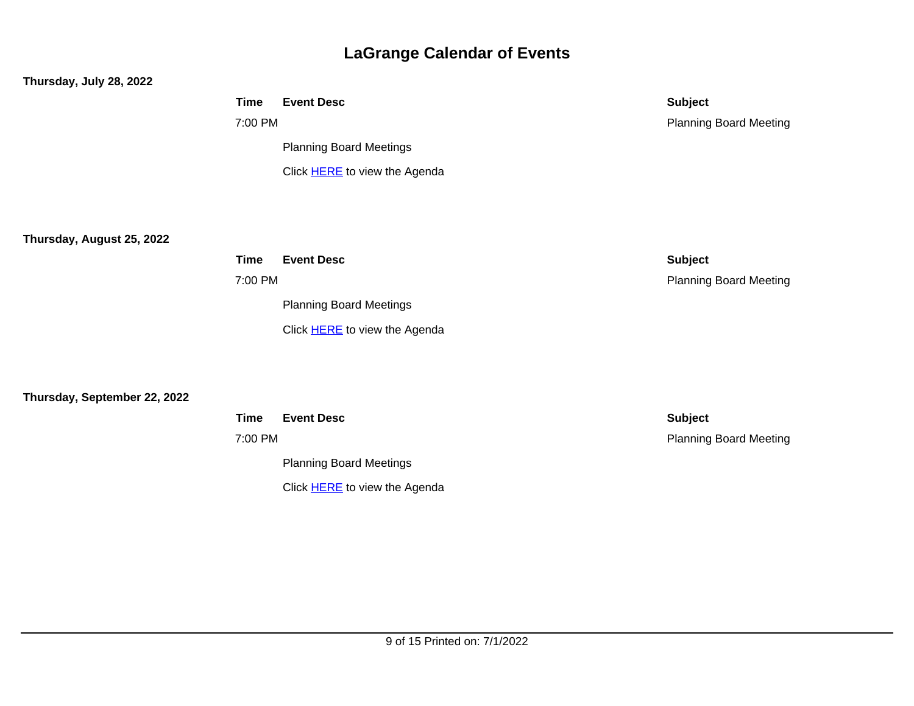## **Thursday, July 28, 2022**

|          | <b>Time</b> | <b>Event Desc</b>              | <b>Subject</b>                |
|----------|-------------|--------------------------------|-------------------------------|
|          | 7:00 PM     |                                | <b>Planning Board Meeting</b> |
|          |             | <b>Planning Board Meetings</b> |                               |
|          |             | Click HERE to view the Agenda  |                               |
|          |             |                                |                               |
|          |             |                                |                               |
| 2022     |             |                                |                               |
|          | <b>Time</b> | <b>Event Desc</b>              | <b>Subject</b>                |
|          | 7:00 PM     |                                | <b>Planning Board Meeting</b> |
|          |             | <b>Planning Board Meetings</b> |                               |
|          |             | Click HERE to view the Agenda  |                               |
|          |             |                                |                               |
|          |             |                                |                               |
| 22, 2022 |             |                                |                               |
|          | <b>Time</b> | <b>Event Desc</b>              | <b>Subject</b>                |
|          |             |                                |                               |

**Thursday, August 25, 2** 

**Thursday, September 2** 

7:00 PM Planning Board Meetings

Click **HERE** to view the Agenda

Planning Board Meeting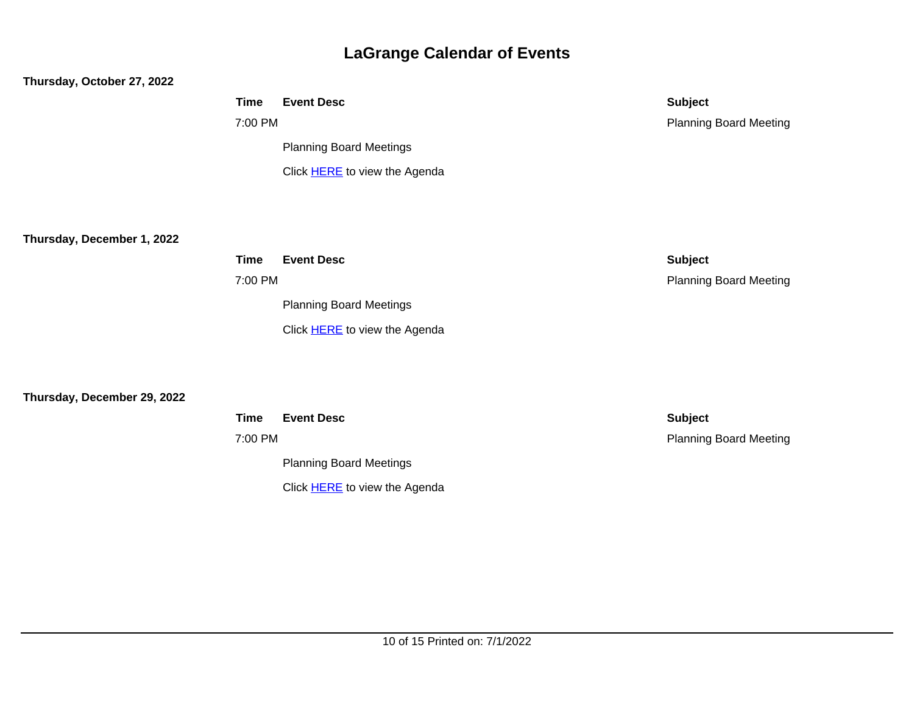#### **Thursday, October 27, 2022**

|                             | <b>Time</b> | <b>Event Desc</b>              | <b>Subject</b>                |
|-----------------------------|-------------|--------------------------------|-------------------------------|
|                             | 7:00 PM     |                                | <b>Planning Board Meeting</b> |
|                             |             | <b>Planning Board Meetings</b> |                               |
|                             |             | Click HERE to view the Agenda  |                               |
|                             |             |                                |                               |
|                             |             |                                |                               |
| Thursday, December 1, 2022  |             |                                |                               |
|                             | <b>Time</b> | <b>Event Desc</b>              | <b>Subject</b>                |
|                             | 7:00 PM     |                                | <b>Planning Board Meeting</b> |
|                             |             | <b>Planning Board Meetings</b> |                               |
|                             |             | Click HERE to view the Agenda  |                               |
|                             |             |                                |                               |
|                             |             |                                |                               |
| Thursday, December 29, 2022 |             |                                |                               |
|                             | <b>Time</b> | <b>Event Desc</b>              | <b>Subject</b>                |

7:00 PM Planning Board Meetings

Click **HERE** to view the Agenda

Planning Board Meeting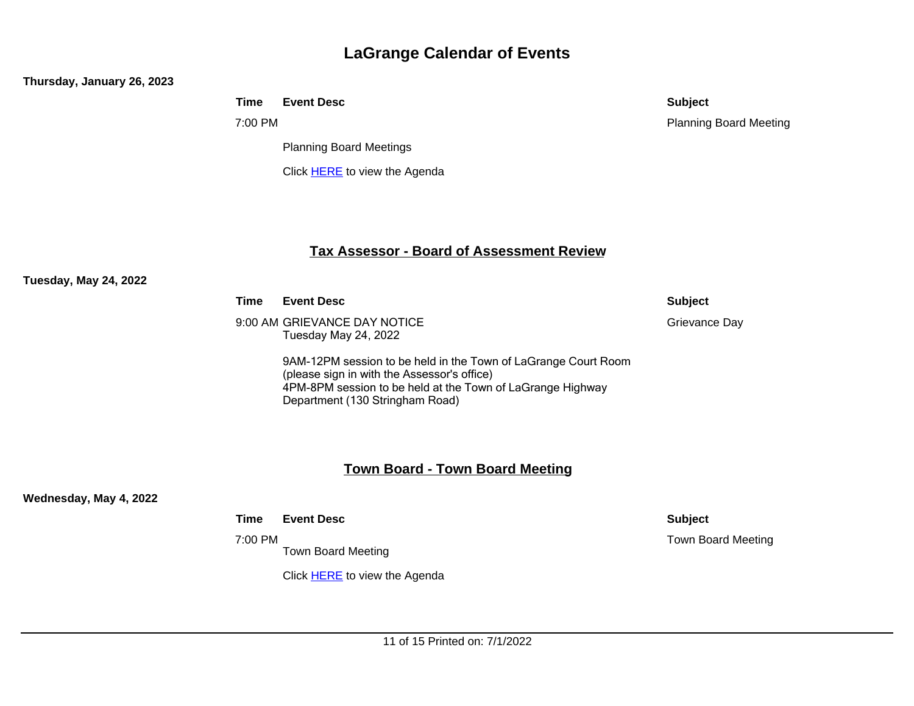#### **Thursday, January 26, 2023**

|  | <b>Time Event Desc</b> | <b>Subject</b> |
|--|------------------------|----------------|
|--|------------------------|----------------|

7:00 PM

Planning Board Meetings

Click **HERE** to view the Agenda

# Planning Board Meeting

## **Tax Assessor - Board of Assessment Review**

#### **Tuesday, May 24, 2022**

**Time Event Desc Subject**

9:00 AM GRIEVANCE DAY NOTICE Tuesday May 24, 2022

> 9AM-12PM session to be held in the Town of LaGrange Court Room (please sign in with the Assessor's office) 4PM-8PM session to be held at the Town of LaGrange Highway Department (130 Stringham Road)

## **Town Board - Town Board Meeting**

**Wednesday, May 4, 2022**

#### **Time Event Desc Subject**

7:00 PM

Town Board Meeting

Click **HERE** to view the Agenda

Grievance Day

Town Board Meeting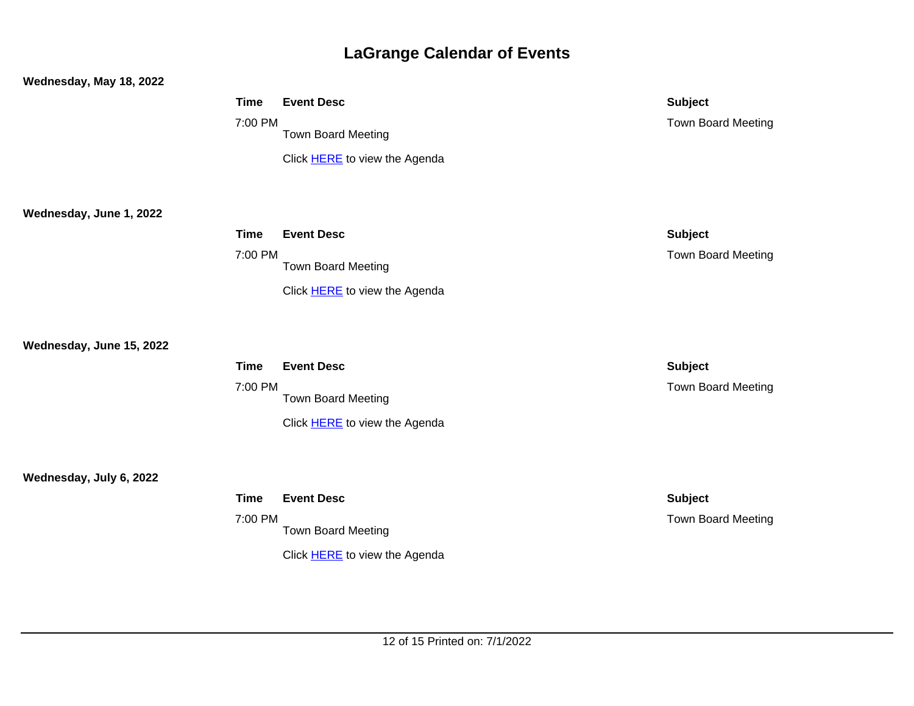### **Wednesday, May 18, 2022**

|                          | <b>Time</b><br>7:00 PM | <b>Event Desc</b><br><b>Town Board Meeting</b><br>Click HERE to view the Agenda        | <b>Subject</b><br>Town Board Meeting        |
|--------------------------|------------------------|----------------------------------------------------------------------------------------|---------------------------------------------|
| Wednesday, June 1, 2022  | <b>Time</b><br>7:00 PM | <b>Event Desc</b><br><b>Town Board Meeting</b><br>Click HERE to view the Agenda        | <b>Subject</b><br><b>Town Board Meeting</b> |
| Wednesday, June 15, 2022 | <b>Time</b><br>7:00 PM | <b>Event Desc</b><br><b>Town Board Meeting</b><br>Click <b>HERE</b> to view the Agenda | <b>Subject</b><br><b>Town Board Meeting</b> |
| Wednesday, July 6, 2022  | <b>Time</b><br>7:00 PM | <b>Event Desc</b><br><b>Town Board Meeting</b><br>Click HERE to view the Agenda        | <b>Subject</b><br><b>Town Board Meeting</b> |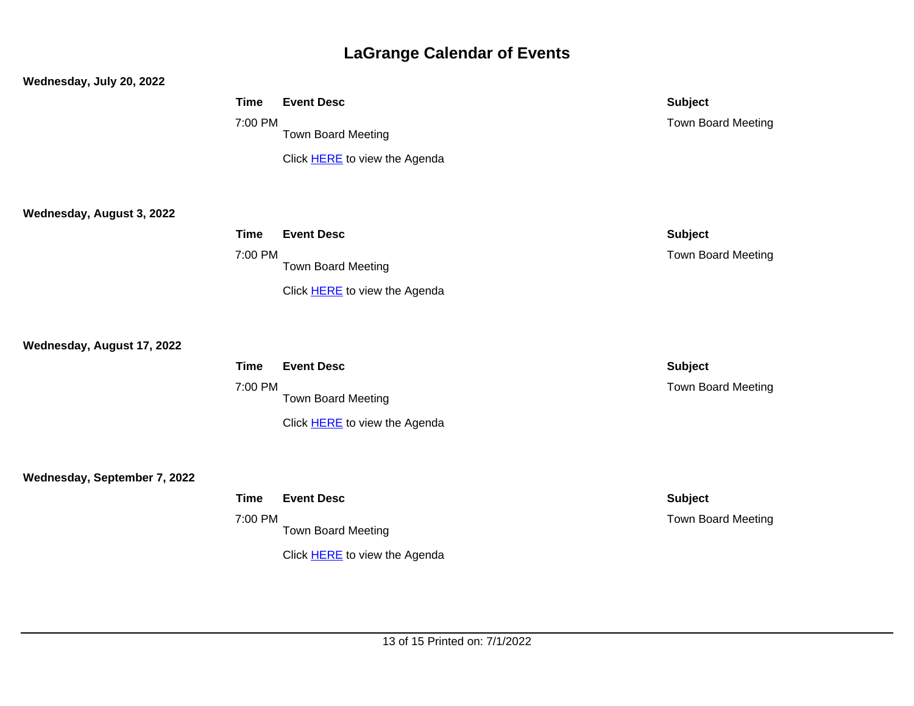## **Wednesday, July 20, 2022**

|                              | <b>Time</b><br>7:00 PM | <b>Event Desc</b><br><b>Town Board Meeting</b><br>Click HERE to view the Agenda        | <b>Subject</b><br><b>Town Board Meeting</b> |
|------------------------------|------------------------|----------------------------------------------------------------------------------------|---------------------------------------------|
| Wednesday, August 3, 2022    | <b>Time</b><br>7:00 PM | <b>Event Desc</b><br>Town Board Meeting<br>Click <b>HERE</b> to view the Agenda        | <b>Subject</b><br><b>Town Board Meeting</b> |
| Wednesday, August 17, 2022   | <b>Time</b><br>7:00 PM | <b>Event Desc</b><br><b>Town Board Meeting</b><br>Click HERE to view the Agenda        | <b>Subject</b><br><b>Town Board Meeting</b> |
| Wednesday, September 7, 2022 | <b>Time</b><br>7:00 PM | <b>Event Desc</b><br><b>Town Board Meeting</b><br>Click <b>HERE</b> to view the Agenda | <b>Subject</b><br><b>Town Board Meeting</b> |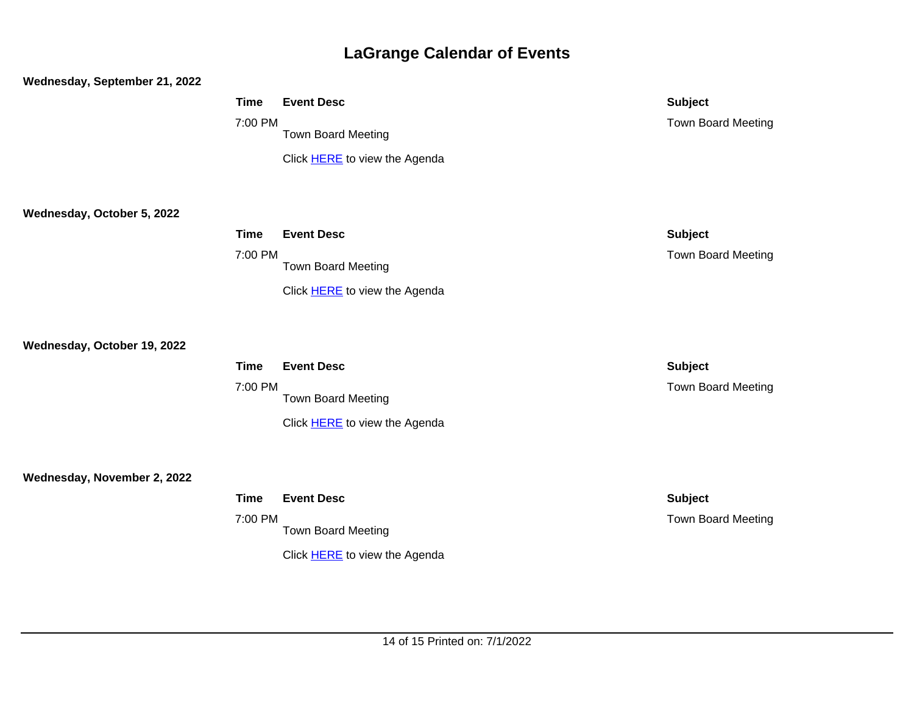# **Wednesday, September 21, 2022 Time Event Desc Subject** 7:00 PM Town Board Meeting Click [HERE](https://ecode360.com/documents/pub/LA0563/Agendas/?category=Town+Board+Meeting+Agenda) to view the Agenda Town Board Meeting **Wednesday, October 5, 2022 Time Event Desc Subject** 7:00 PM Town Board Meeting Click [HERE](https://ecode360.com/documents/pub/LA0563/Agendas/?category=Town+Board+Meeting+Agenda) to view the Agenda Town Board Meeting **Wednesday, October 19, 2022 Time Event Desc Subject** 7:00 PM Town Board Meeting Click [HERE](https://ecode360.com/documents/pub/LA0563/Agendas/?category=Town+Board+Meeting+Agenda) to view the Agenda Town Board Meeting **Wednesday, November 2, 2022 Time Event Desc Subject** 7:00 PM Town Board Meeting Click [HERE](https://ecode360.com/documents/pub/LA0563/Agendas/?category=Town+Board+Meeting+Agenda) to view the Agenda Town Board Meeting